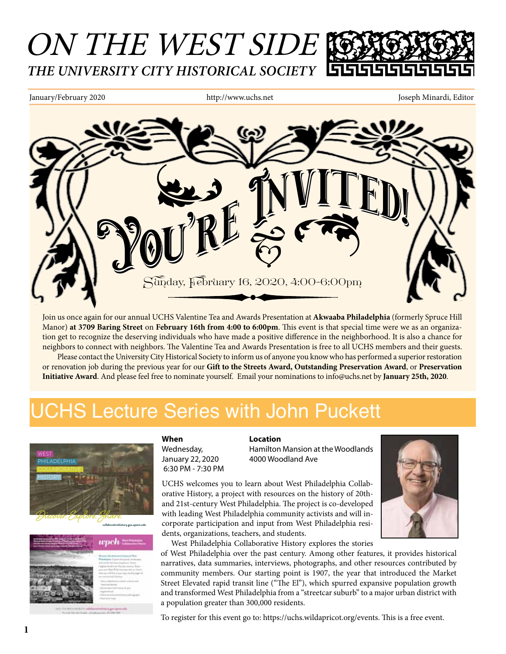# ON THE WEST SIDE *THE UNIVERSITY CITY HISTORICAL SOCIETY*

January/February 2020 http://www.uchs.net Joseph Minardi, Editor



Join us once again for our annual UCHS Valentine Tea and Awards Presentation at **Akwaaba Philadelphia** (formerly Spruce Hill Manor) **at 3709 Baring Street** on **February 16th from 4:00 to 6:00pm**. This event is that special time were we as an organization get to recognize the deserving individuals who have made a positive difference in the neighborhood. It is also a chance for neighbors to connect with neighbors. The Valentine Tea and Awards Presentation is free to all UCHS members and their guests. Please contact the University City Historical Society to inform us of anyone you know who has performed a superior restoration or renovation job during the previous year for our **Gift to the Streets Award, Outstanding Preservation Award**, or **Preservation Initiative Award**. And please feel free to nominate yourself. Email your nominations to info@uchs.net by **January 25th, 2020**.

## JCHS Lecture Series with John Puckett

6:30 PM - 7:30 PM





### **When Location**

Wednesday, **Hamilton Mansion at the Woodlands** January 22, 2020 4000 Woodland Ave

UCHS welcomes you to learn about West Philadelphia Collaborative History, a project with resources on the history of 20thand 21st-century West Philadelphia. The project is co-developed with leading West Philadelphia community activists and will incorporate participation and input from West Philadelphia residents, organizations, teachers, and students.



West Philadelphia Collaborative History explores the stories

of West Philadelphia over the past century. Among other features, it provides historical narratives, data summaries, interviews, photographs, and other resources contributed by community members. Our starting point is 1907, the year that introduced the Market Street Elevated rapid transit line ("The El"), which spurred expansive population growth and transformed West Philadelphia from a "streetcar suburb" to a major urban district with a population greater than 300,000 residents.

To register for this event go to: https://uchs.wildapricot.org/events. This is a free event.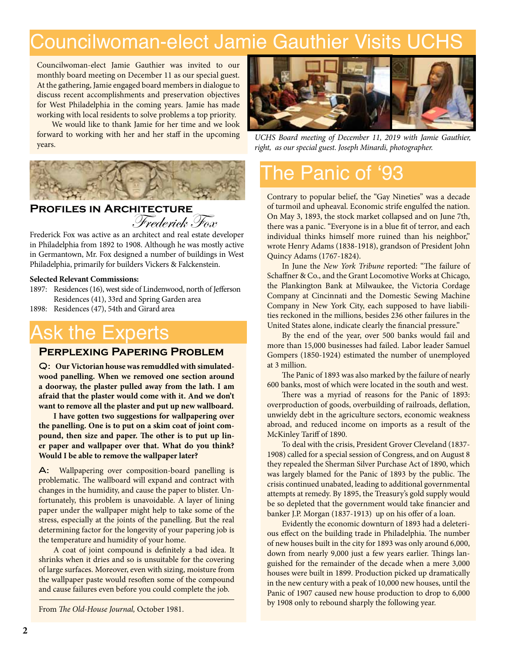## Councilwoman-elect Jamie Gauthier Visits UCHS

Councilwoman-elect Jamie Gauthier was invited to our monthly board meeting on December 11 as our special guest. At the gathering, Jamie engaged board members in dialogue to discuss recent accomplishments and preservation objectives for West Philadelphia in the coming years. Jamie has made working with local residents to solve problems a top priority.

We would like to thank Jamie for her time and we look forward to working with her and her staff in the upcoming years.



#### **Profiles in Architecture** Frederick Fox

Frederick Fox was active as an architect and real estate developer in Philadelphia from 1892 to 1908. Although he was mostly active in Germantown, Mr. Fox designed a number of buildings in West Philadelphia, primarily for builders Vickers & Falckenstein.

#### **Selected Relevant Commissions:**

- 1897: Residences (16), west side of Lindenwood, north of Jefferson Residences (41), 33rd and Spring Garden area
- 1898: Residences (47), 54th and Girard area

### Ask the Experts

#### **Perplexing Papering Problem**

Q: **Our Victorian house was remuddled with simulatedwood panelling. When we removed one section around a doorway, the plaster pulled away from the lath. I am afraid that the plaster would come with it. And we don't want to remove all the plaster and put up new wallboard.**

**I have gotten two suggestions for wallpapering over the panelling. One is to put on a skim coat of joint compound, then size and paper. The other is to put up liner paper and wallpaper over that. What do you think? Would I be able to remove the wallpaper later?**

A: Wallpapering over composition-board panelling is problematic. The wallboard will expand and contract with changes in the humidity, and cause the paper to blister. Unfortunately, this problem is unavoidable. A layer of lining paper under the wallpaper might help to take some of the stress, especially at the joints of the panelling. But the real determining factor for the longevity of your papering job is the temperature and humidity of your home.

A coat of joint compound is definitely a bad idea. It shrinks when it dries and so is unsuitable for the covering of large surfaces. Moreover, even with sizing, moisture from the wallpaper paste would resoften some of the compound and cause failures even before you could complete the job.

From *The Old-House Journal,* October 1981.



*UCHS Board meeting of December 11, 2019 with Jamie Gauthier, right, as our special guest. Joseph Minardi, photographer.*

### The Panic of '93

Contrary to popular belief, the "Gay Nineties" was a decade of turmoil and upheaval. Economic strife engulfed the nation. On May 3, 1893, the stock market collapsed and on June 7th, there was a panic. "Everyone is in a blue fit of terror, and each individual thinks himself more ruined than his neighbor," wrote Henry Adams (1838-1918), grandson of President John Quincy Adams (1767-1824).

In June the *New York Tribune* reported: "The failure of Schaffner & Co., and the Grant Locomotive Works at Chicago, the Plankington Bank at Milwaukee, the Victoria Cordage Company at Cincinnati and the Domestic Sewing Machine Company in New York City, each supposed to have liabilities reckoned in the millions, besides 236 other failures in the United States alone, indicate clearly the financial pressure."

By the end of the year, over 500 banks would fail and more than 15,000 businesses had failed. Labor leader Samuel Gompers (1850-1924) estimated the number of unemployed at 3 million.

The Panic of 1893 was also marked by the failure of nearly 600 banks, most of which were located in the south and west.

There was a myriad of reasons for the Panic of 1893: overproduction of goods, overbuilding of railroads, deflation, unwieldy debt in the agriculture sectors, economic weakness abroad, and reduced income on imports as a result of the McKinley Tariff of 1890.

To deal with the crisis, President Grover Cleveland (1837- 1908) called for a special session of Congress, and on August 8 they repealed the Sherman Silver Purchase Act of 1890, which was largely blamed for the Panic of 1893 by the public. The crisis continued unabated, leading to additional governmental attempts at remedy. By 1895, the Treasury's gold supply would be so depleted that the government would take financier and banker J.P. Morgan (1837-1913) up on his offer of a loan.

Evidently the economic downturn of 1893 had a deleterious effect on the building trade in Philadelphia. The number of new houses built in the city for 1893 was only around 6,000, down from nearly 9,000 just a few years earlier. Things languished for the remainder of the decade when a mere 3,000 houses were built in 1899. Production picked up dramatically in the new century with a peak of 10,000 new houses, until the Panic of 1907 caused new house production to drop to 6,000 by 1908 only to rebound sharply the following year.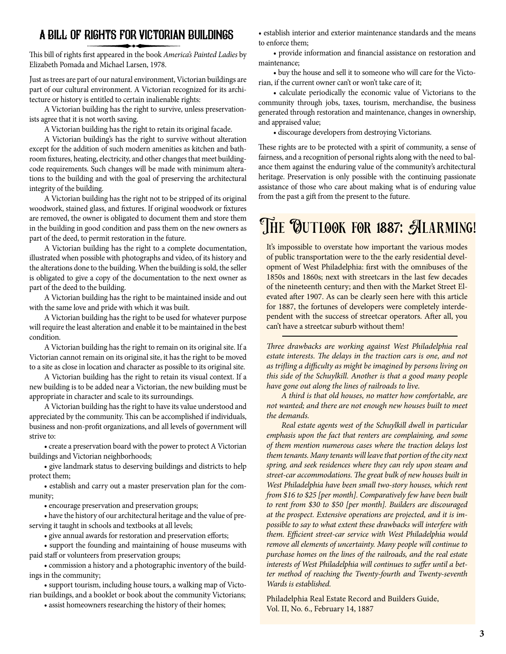### A Bill of Rights for Victorian Buildings

This bill of rights first appeared in the book *America's Painted Ladies* by Elizabeth Pomada and Michael Larsen, 1978.

Just as trees are part of our natural environment, Victorian buildings are part of our cultural environment. A Victorian recognized for its architecture or history is entitled to certain inalienable rights:

A Victorian building has the right to survive, unless preservationists agree that it is not worth saving.

A Victorian building has the right to retain its original facade.

A Victorian building's has the right to survive without alteration except for the addition of such modern amenities as kitchen and bathroom fixtures, heating, electricity, and other changes that meet buildingcode requirements. Such changes will be made with minimum alterations to the building and with the goal of preserving the architectural integrity of the building.

A Victorian building has the right not to be stripped of its original woodwork, stained glass, and fixtures. If original woodwork or fixtures are removed, the owner is obligated to document them and store them in the building in good condition and pass them on the new owners as part of the deed, to permit restoration in the future.

A Victorian building has the right to a complete documentation, illustrated when possible with photographs and video, of its history and the alterations done to the building. When the building is sold, the seller is obligated to give a copy of the documentation to the next owner as part of the deed to the building.

A Victorian building has the right to be maintained inside and out with the same love and pride with which it was built.

A Victorian building has the right to be used for whatever purpose will require the least alteration and enable it to be maintained in the best condition.

A Victorian building has the right to remain on its original site. If a Victorian cannot remain on its original site, it has the right to be moved to a site as close in location and character as possible to its original site.

A Victorian building has the right to retain its visual context. If a new building is to be added near a Victorian, the new building must be appropriate in character and scale to its surroundings.

A Victorian building has the right to have its value understood and appreciated by the community. This can be accomplished if individuals, business and non-profit organizations, and all levels of government will strive to:

• create a preservation board with the power to protect A Victorian buildings and Victorian neighborhoods;

 • give landmark status to deserving buildings and districts to help protect them;

 • establish and carry out a master preservation plan for the community;

 • encourage preservation and preservation groups;

 • have the history of our architectural heritage and the value of preserving it taught in schools and textbooks at all levels;

 • give annual awards for restoration and preservation efforts;

 • support the founding and maintaining of house museums with paid staff or volunteers from preservation groups;

 • commission a history and a photographic inventory of the buildings in the community;

 • support tourism, including house tours, a walking map of Victorian buildings, and a booklet or book about the community Victorians;

 • assist homeowners researching the history of their homes;

• establish interior and exterior maintenance standards and the means to enforce them;

 • provide information and financial assistance on restoration and maintenance;

 • buy the house and sell it to someone who will care for the Victorian, if the current owner can't or won't take care of it;

 • calculate periodically the economic value of Victorians to the community through jobs, taxes, tourism, merchandise, the business generated through restoration and maintenance, changes in ownership, and appraised value;

 • discourage developers from destroying Victorians.

These rights are to be protected with a spirit of community, a sense of fairness, and a recognition of personal rights along with the need to balance them against the enduring value of the community's architectural heritage. Preservation is only possible with the continuing passionate assistance of those who care about making what is of enduring value from the past a gift from the present to the future.

## THE OUTLOOK FOR 1887: ALARMING!

It's impossible to overstate how important the various modes of public transportation were to the the early residential development of West Philadelphia: first with the omnibuses of the 1850s and 1860s; next with streetcars in the last few decades of the nineteenth century; and then with the Market Street Elevated after 1907. As can be clearly seen here with this article for 1887, the fortunes of developers were completely interdependent with the success of streetcar operators. After all, you can't have a streetcar suburb without them!

*Three drawbacks are working against West Philadelphia real estate interests. The delays in the traction cars is one, and not as trifling a difficulty as might be imagined by persons living on this side of the Schuylkill. Another is that a good many people have gone out along the lines of railroads to live.*

*A third is that old houses, no matter how comfortable, are not wanted; and there are not enough new houses built to meet the demands.*

*Real estate agents west of the Schuylkill dwell in particular emphasis upon the fact that renters are complaining, and some of them mention numerous cases where the traction delays lost them tenants. Many tenants will leave that portion of the city next spring, and seek residences where they can rely upon steam and street-car accommodations. The great bulk of new houses built in West Philadelphia have been small two-story houses, which rent from \$16 to \$25 [per month]. Comparatively few have been built to rent from \$30 to \$50 [per month]. Builders are discouraged at the prospect. Extensive operations are projected, and it is impossible to say to what extent these drawbacks will interfere with them. Efficient street-car service with West Philadelphia would remove all elements of uncertainty. Many people will continue to purchase homes on the lines of the railroads, and the real estate interests of West Philadelphia will continues to suffer until a better method of reaching the Twenty-fourth and Twenty-seventh Wards is established.*

Philadelphia Real Estate Record and Builders Guide, Vol. II, No. 6., February 14, 1887